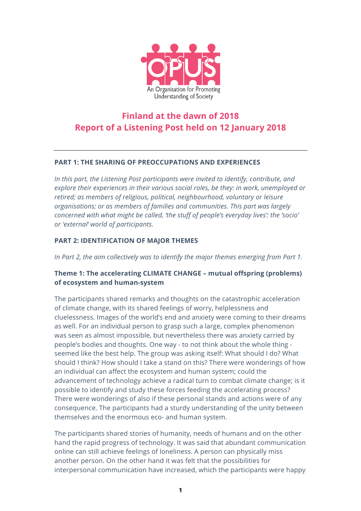

# **Finland at the dawn of 2018 Report of a Listening Post held on 12 January 2018**

## **PART 1: THE SHARING OF PREOCCUPATIONS AND EXPERIENCES**

*In this part, the Listening Post participants were invited to identify, contribute, and explore their experiences in their various social roles, be they: in work, unemployed or retired; as members of religious, political, neighbourhood, voluntary or leisure organisations; or as members of families and communities. This part was largely concerned with what might be called, 'the stuff of people's everyday lives': the 'socio' or 'external' world of participants.*

## **PART 2: IDENTIFICATION OF MAJOR THEMES**

*In Part 2, the aim collectively was to identify the major themes emerging from Part 1.*

# **Theme 1: The accelerating CLIMATE CHANGE – mutual offspring (problems) of ecosystem and human-system**

The participants shared remarks and thoughts on the catastrophic acceleration of climate change, with its shared feelings of worry, helplessness and cluelessness. Images of the world's end and anxiety were coming to their dreams as well. For an individual person to grasp such a large, complex phenomenon was seen as almost impossible, but nevertheless there was anxiety carried by people's bodies and thoughts. One way - to not think about the whole thing seemed like the best help. The group was asking itself: What should I do? What should I think? How should I take a stand on this? There were wonderings of how an individual can affect the ecosystem and human system; could the advancement of technology achieve a radical turn to combat climate change; is it possible to identify and study these forces feeding the accelerating process? There were wonderings of also if these personal stands and actions were of any consequence. The participants had a sturdy understanding of the unity between themselves and the enormous eco- and human system.

The participants shared stories of humanity, needs of humans and on the other hand the rapid progress of technology. It was said that abundant communication online can still achieve feelings of loneliness. A person can physically miss another person. On the other hand it was felt that the possibilities for interpersonal communication have increased, which the participants were happy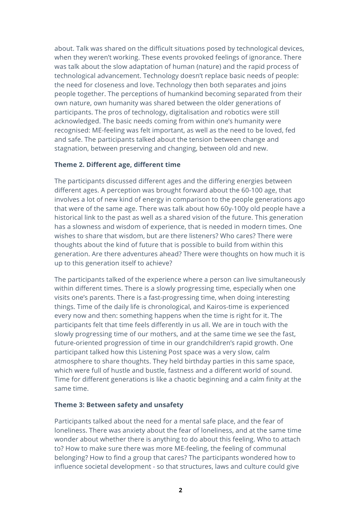about. Talk was shared on the difficult situations posed by technological devices, when they weren't working. These events provoked feelings of ignorance. There was talk about the slow adaptation of human (nature) and the rapid process of technological advancement. Technology doesn't replace basic needs of people: the need for closeness and love. Technology then both separates and joins people together. The perceptions of humankind becoming separated from their own nature, own humanity was shared between the older generations of participants. The pros of technology, digitalisation and robotics were still acknowledged. The basic needs coming from within one's humanity were recognised: ME-feeling was felt important, as well as the need to be loved, fed and safe. The participants talked about the tension between change and stagnation, between preserving and changing, between old and new.

## **Theme 2. Different age, different time**

The participants discussed different ages and the differing energies between different ages. A perception was brought forward about the 60-100 age, that involves a lot of new kind of energy in comparison to the people generations ago that were of the same age. There was talk about how 60y-100y old people have a historical link to the past as well as a shared vision of the future. This generation has a slowness and wisdom of experience, that is needed in modern times. One wishes to share that wisdom, but are there listeners? Who cares? There were thoughts about the kind of future that is possible to build from within this generation. Are there adventures ahead? There were thoughts on how much it is up to this generation itself to achieve?

The participants talked of the experience where a person can live simultaneously within different times. There is a slowly progressing time, especially when one visits one's parents. There is a fast-progressing time, when doing interesting things. Time of the daily life is chronological, and Kairos-time is experienced every now and then: something happens when the time is right for it. The participants felt that time feels differently in us all. We are in touch with the slowly progressing time of our mothers, and at the same time we see the fast, future-oriented progression of time in our grandchildren's rapid growth. One participant talked how this Listening Post space was a very slow, calm atmosphere to share thoughts. They held birthday parties in this same space, which were full of hustle and bustle, fastness and a different world of sound. Time for different generations is like a chaotic beginning and a calm finity at the same time.

#### **Theme 3: Between safety and unsafety**

Participants talked about the need for a mental safe place, and the fear of loneliness. There was anxiety about the fear of loneliness, and at the same time wonder about whether there is anything to do about this feeling. Who to attach to? How to make sure there was more ME-feeling, the feeling of communal belonging? How to find a group that cares? The participants wondered how to influence societal development - so that structures, laws and culture could give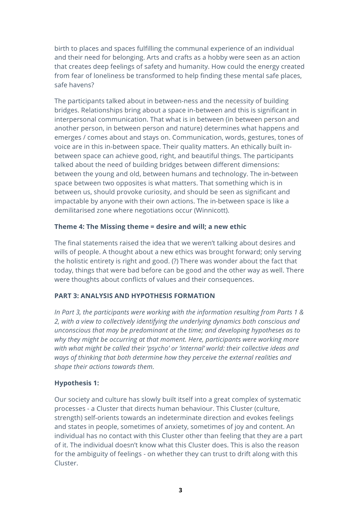birth to places and spaces fulfilling the communal experience of an individual and their need for belonging. Arts and crafts as a hobby were seen as an action that creates deep feelings of safety and humanity. How could the energy created from fear of loneliness be transformed to help finding these mental safe places, safe havens?

The participants talked about in between-ness and the necessity of building bridges. Relationships bring about a space in-between and this is significant in interpersonal communication. That what is in between (in between person and another person, in between person and nature) determines what happens and emerges / comes about and stays on. Communication, words, gestures, tones of voice are in this in-between space. Their quality matters. An ethically built inbetween space can achieve good, right, and beautiful things. The participants talked about the need of building bridges between different dimensions: between the young and old, between humans and technology. The in-between space between two opposites is what matters. That something which is in between us, should provoke curiosity, and should be seen as significant and impactable by anyone with their own actions. The in-between space is like a demilitarised zone where negotiations occur (Winnicott).

## **Theme 4: The Missing theme = desire and will; a new ethic**

The final statements raised the idea that we weren't talking about desires and wills of people. A thought about a new ethics was brought forward; only serving the holistic entirety is right and good. (?) There was wonder about the fact that today, things that were bad before can be good and the other way as well. There were thoughts about conflicts of values and their consequences.

# **PART 3: ANALYSIS AND HYPOTHESIS FORMATION**

*In Part 3, the participants were working with the information resulting from Parts 1 & 2, with a view to collectively identifying the underlying dynamics both conscious and unconscious that may be predominant at the time; and developing hypotheses as to why they might be occurring at that moment. Here, participants were working more with what might be called their 'psycho' or 'internal' world: their collective ideas and ways of thinking that both determine how they perceive the external realities and shape their actions towards them.*

## **Hypothesis 1:**

Our society and culture has slowly built itself into a great complex of systematic processes - a Cluster that directs human behaviour. This Cluster (culture, strength) self-orients towards an indeterminate direction and evokes feelings and states in people, sometimes of anxiety, sometimes of joy and content. An individual has no contact with this Cluster other than feeling that they are a part of it. The individual doesn't know what this Cluster does. This is also the reason for the ambiguity of feelings - on whether they can trust to drift along with this Cluster.